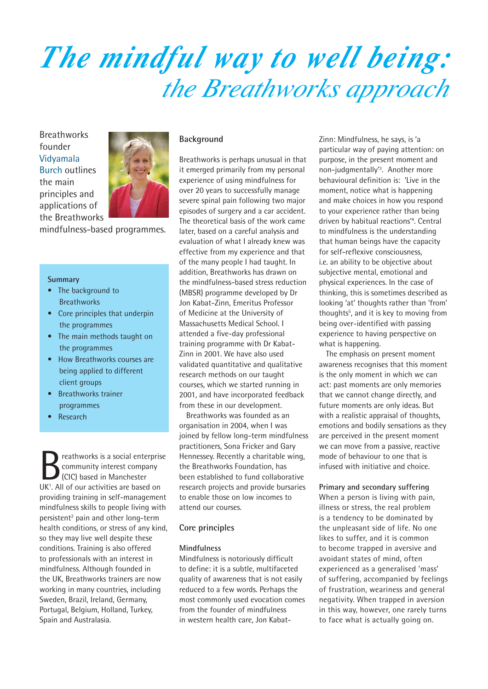## *The mindful way to well being: the Breathworks approach*

**Breathworks** founder Vidyamala Burch outlines the main principles and applications of the Breathworks



mindfulness-based programmes.

#### **Summary**

- The background to **Breathworks**
- Core principles that underpin the programmes
- The main methods taught on the programmes
- How Breathworks courses are being applied to different client groups
- Breathworks trainer programmes
- Research

reathworks is a social enterprise community interest company (CIC) based in Manchester UK<sup>1</sup>. All of our activities are based on providing training in self-management mindfulness skills to people living with persistent<sup>2</sup> pain and other long-term health conditions, or stress of any kind, so they may live well despite these conditions. Training is also offered to professionals with an interest in mindfulness. Although founded in the UK, Breathworks trainers are now working in many countries, including Sweden, Brazil, Ireland, Germany, Portugal, Belgium, Holland, Turkey, Spain and Australasia.

#### **Background**

Breathworks is perhaps unusual in that it emerged primarily from my personal experience of using mindfulness for over 20 years to successfully manage severe spinal pain following two major episodes of surgery and a car accident. The theoretical basis of the work came later, based on a careful analysis and evaluation of what I already knew was effective from my experience and that of the many people I had taught. In addition, Breathworks has drawn on the mindfulness-based stress reduction (MBSR) programme developed by Dr Jon Kabat-Zinn, Emeritus Professor of Medicine at the University of Massachusetts Medical School. I attended a five-day professional training programme with Dr Kabat-Zinn in 2001. We have also used validated quantitative and qualitative research methods on our taught courses, which we started running in 2001, and have incorporated feedback from these in our development.

Breathworks was founded as an organisation in 2004, when I was joined by fellow long-term mindfulness practitioners, Sona Fricker and Gary Hennessey. Recently a charitable wing, the Breathworks Foundation, has been established to fund collaborative research projects and provide bursaries to enable those on low incomes to attend our courses.

#### **Core principles**

#### **Mindfulness**

Mindfulness is notoriously difficult to define: it is a subtle, multifaceted quality of awareness that is not easily reduced to a few words. Perhaps the most commonly used evocation comes from the founder of mindfulness in western health care, Jon KabatZinn: Mindfulness, he says, is 'a particular way of paying attention: on purpose, in the present moment and non-judgmentally'3 . Another more behavioural definition is: 'Live in the moment, notice what is happening and make choices in how you respond to your experience rather than being driven by habitual reactions'<sup>4</sup>. Central to mindfulness is the understanding that human beings have the capacity for self-reflexive consciousness, i.e. an ability to be objective about subjective mental, emotional and physical experiences. In the case of thinking, this is sometimes described as looking 'at' thoughts rather than 'from' thoughts<sup>5</sup>, and it is key to moving from being over-identified with passing experience to having perspective on what is happening.

The emphasis on present moment awareness recognises that this moment is the only moment in which we can act: past moments are only memories that we cannot change directly, and future moments are only ideas. But with a realistic appraisal of thoughts, emotions and bodily sensations as they are perceived in the present moment we can move from a passive, reactive mode of behaviour to one that is infused with initiative and choice.

#### **Primary and secondary suffering**

When a person is living with pain, illness or stress, the real problem is a tendency to be dominated by the unpleasant side of life. No one likes to suffer, and it is common to become trapped in aversive and avoidant states of mind, often experienced as a generalised 'mass' of suffering, accompanied by feelings of frustration, weariness and general negativity. When trapped in aversion in this way, however, one rarely turns to face what is actually going on.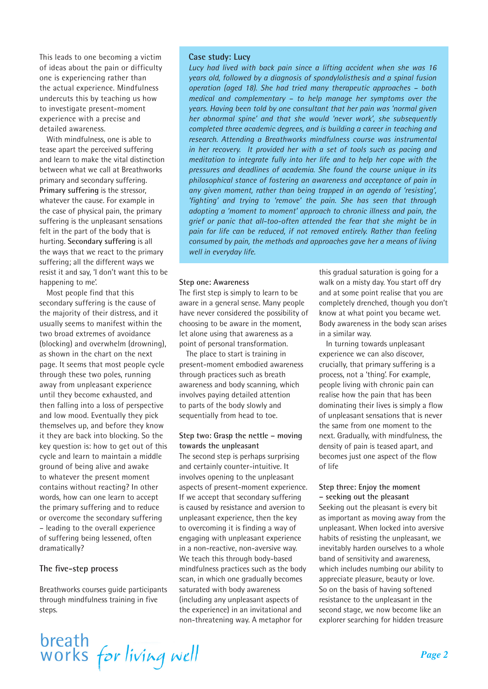This leads to one becoming a victim of ideas about the pain or difficulty one is experiencing rather than the actual experience. Mindfulness undercuts this by teaching us how to investigate present-moment experience with a precise and detailed awareness.

With mindfulness, one is able to tease apart the perceived suffering and learn to make the vital distinction between what we call at Breathworks primary and secondary suffering. **Primary suffering** is the stressor, whatever the cause. For example in the case of physical pain, the primary suffering is the unpleasant sensations felt in the part of the body that is hurting. **Secondary suffering** is all the ways that we react to the primary suffering; all the different ways we resist it and say, 'I don't want this to be happening to me'.

Most people find that this secondary suffering is the cause of the majority of their distress, and it usually seems to manifest within the two broad extremes of avoidance (blocking) and overwhelm (drowning), as shown in the chart on the next page. It seems that most people cycle through these two poles, running away from unpleasant experience until they become exhausted, and then falling into a loss of perspective and low mood. Eventually they pick themselves up, and before they know it they are back into blocking. So the key question is: how to get out of this cycle and learn to maintain a middle ground of being alive and awake to whatever the present moment contains without reacting? In other words, how can one learn to accept the primary suffering and to reduce or overcome the secondary suffering – leading to the overall experience of suffering being lessened, often dramatically?

#### **The five-step process**

Breathworks courses guide participants through mindfulness training in five steps.

#### **Case study: Lucy**

*Lucy had lived with back pain since a lifting accident when she was 16 years old, followed by a diagnosis of spondylolisthesis and a spinal fusion operation (aged 18). She had tried many therapeutic approaches – both medical and complementary – to help manage her symptoms over the years. Having been told by one consultant that her pain was 'normal given her abnormal spine' and that she would 'never work', she subsequently completed three academic degrees, and is building a career in teaching and research. Attending a Breathworks mindfulness course was instrumental in her recovery. It provided her with a set of tools such as pacing and meditation to integrate fully into her life and to help her cope with the pressures and deadlines of academia. She found the course unique in its philosophical stance of fostering an awareness and acceptance of pain in any given moment, rather than being trapped in an agenda of 'resisting', 'fighting' and trying to 'remove' the pain. She has seen that through adopting a 'moment to moment' approach to chronic illness and pain, the grief or panic that all-too-often attended the fear that she might be in pain for life can be reduced, if not removed entirely. Rather than feeling consumed by pain, the methods and approaches gave her a means of living well in everyday life.*

#### **Step one: Awareness**

The first step is simply to learn to be aware in a general sense. Many people have never considered the possibility of choosing to be aware in the moment, let alone using that awareness as a point of personal transformation.

The place to start is training in present-moment embodied awareness through practices such as breath awareness and body scanning, which involves paying detailed attention to parts of the body slowly and sequentially from head to toe.

#### **Step two: Grasp the nettle – moving towards the unpleasant**

The second step is perhaps surprising and certainly counter-intuitive. It involves opening to the unpleasant aspects of present-moment experience. If we accept that secondary suffering is caused by resistance and aversion to unpleasant experience, then the key to overcoming it is finding a way of engaging with unpleasant experience in a non-reactive, non-aversive way. We teach this through body-based mindfulness practices such as the body scan, in which one gradually becomes saturated with body awareness (including any unpleasant aspects of the experience) in an invitational and non-threatening way. A metaphor for

this gradual saturation is going for a walk on a misty day. You start off dry and at some point realise that you are completely drenched, though you don't know at what point you became wet. Body awareness in the body scan arises in a similar way.

In turning towards unpleasant experience we can also discover, crucially, that primary suffering is a process, not a 'thing'. For example, people living with chronic pain can realise how the pain that has been dominating their lives is simply a flow of unpleasant sensations that is never the same from one moment to the next. Gradually, with mindfulness, the density of pain is teased apart, and becomes just one aspect of the flow of life

#### **Step three: Enjoy the moment – seeking out the pleasant**

Seeking out the pleasant is every bit as important as moving away from the unpleasant. When locked into aversive habits of resisting the unpleasant, we inevitably harden ourselves to a whole band of sensitivity and awareness, which includes numbing our ability to appreciate pleasure, beauty or love. So on the basis of having softened resistance to the unpleasant in the second stage, we now become like an explorer searching for hidden treasure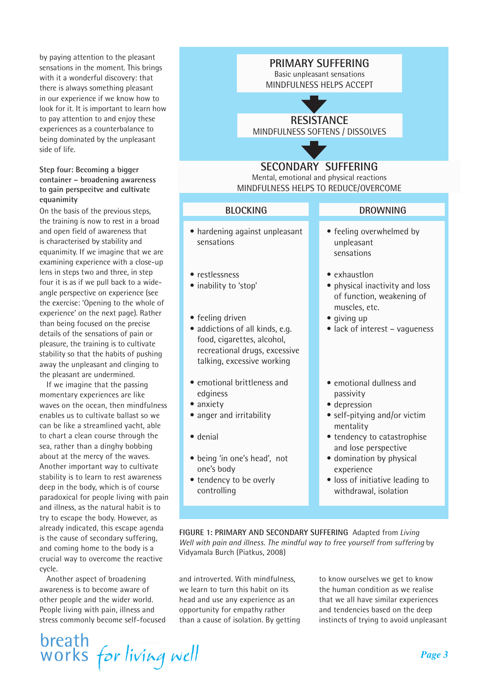by paying attention to the pleasant sensations in the moment. This brings with it a wonderful discovery: that there is always something pleasant in our experience if we know how to look for it. It is important to learn how to pay attention to and enjoy these experiences as a counterbalance to being dominated by the unpleasant side of life.

#### **Step four: Becoming a bigger container – broadening awareness to gain perspecitve and cultivate equanimity**

On the basis of the previous steps, the training is now to rest in a broad and open field of awareness that is characterised by stability and equanimity. If we imagine that we are examining experience with a close-up lens in steps two and three, in step four it is as if we pull back to a wideangle perspective on experience (see the exercise: 'Opening to the whole of experience' on the next page). Rather than being focused on the precise details of the sensations of pain or pleasure, the training is to cultivate stability so that the habits of pushing away the unpleasant and clinging to the pleasant are undermined.

If we imagine that the passing momentary experiences are like waves on the ocean, then mindfulness enables us to cultivate ballast so we can be like a streamlined yacht, able to chart a clean course through the sea, rather than a dinghy bobbing about at the mercy of the waves. Another important way to cultivate stability is to learn to rest awareness deep in the body, which is of course paradoxical for people living with pain and illness, as the natural habit is to try to escape the body. However, as already indicated, this escape agenda is the cause of secondary suffering, and coming home to the body is a crucial way to overcome the reactive cycle.

Another aspect of broadening awareness is to become aware of other people and the wider world. People living with pain, illness and stress commonly become self-focused

breath works for living well

#### **PRIMARY SUFFERING**

Basic unpleasant sensations MINDFULNESS HELPS ACCEPT

## **RESISTANCE**

MINDFULNESS SOFTENS / DISSOLVES

### **SECONDARY SUFFERING**

Mental, emotional and physical reactions MINDFULNESS HELPS TO REDUCE/OVERCOME

| <b>BLOCKING</b>                                                                                                                                  | <b>DROWNING</b>                                                                              |
|--------------------------------------------------------------------------------------------------------------------------------------------------|----------------------------------------------------------------------------------------------|
| • hardening against unpleasant<br>sensations                                                                                                     | • feeling overwhelmed by<br>unpleasant<br>sensations                                         |
| • restlessness<br>• inability to 'stop'                                                                                                          | • exhaustlon<br>• physical inactivity and loss<br>of function, weakening of<br>muscles, etc. |
| • feeling driven<br>· addictions of all kinds, e.g.<br>food, cigarettes, alcohol,<br>recreational drugs, excessive<br>talking, excessive working | • giving up<br>• lack of interest - vagueness                                                |
| • emotional brittleness and<br>edginess                                                                                                          | • emotional dullness and<br>passivity                                                        |
| • anxiety<br>• anger and irritability                                                                                                            | · depression<br>• self-pitying and/or victim<br>mentality                                    |
| · denial                                                                                                                                         | • tendency to catastrophise<br>and lose perspective                                          |
| · being 'in one's head', not<br>one's body                                                                                                       | • domination by physical<br>experience                                                       |
| • tendency to be overly<br>controlling                                                                                                           | • loss of initiative leading to<br>withdrawal, isolation                                     |

**FIGURE 1: PRIMARY AND SECONDARY SUFFERING** Adapted from *Living Well with pain and illness. The mindful way to free yourself from suffering* by Vidyamala Burch (Piatkus, 2008)

and introverted. With mindfulness, we learn to turn this habit on its head and use any experience as an opportunity for empathy rather than a cause of isolation. By getting to know ourselves we get to know the human condition as we realise that we all have similar experiences and tendencies based on the deep instincts of trying to avoid unpleasant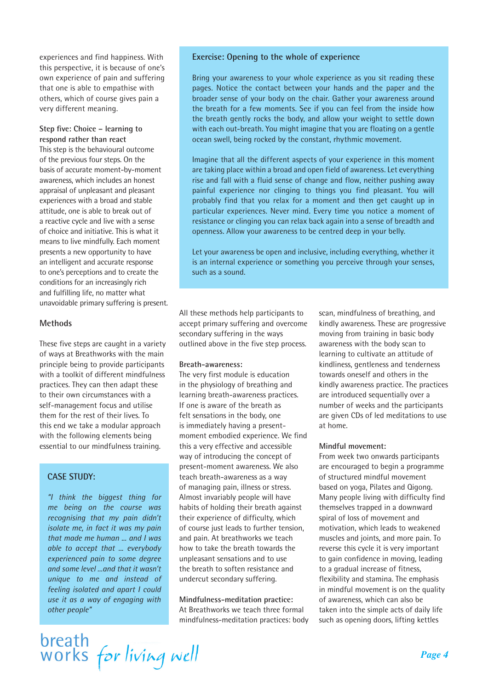experiences and find happiness. With this perspective, it is because of one's own experience of pain and suffering that one is able to empathise with others, which of course gives pain a very different meaning.

**Step five: Choice – learning to respond rather than react** This step is the behavioural outcome of the previous four steps. On the basis of accurate moment-by-moment awareness, which includes an honest appraisal of unpleasant and pleasant experiences with a broad and stable attitude, one is able to break out of a reactive cycle and live with a sense of choice and initiative. This is what it means to live mindfully. Each moment presents a new opportunity to have an intelligent and accurate response to one's perceptions and to create the conditions for an increasingly rich and fulfilling life, no matter what unavoidable primary suffering is present.

#### **Methods**

These five steps are caught in a variety of ways at Breathworks with the main principle being to provide participants with a toolkit of different mindfulness practices. They can then adapt these to their own circumstances with a self-management focus and utilise them for the rest of their lives. To this end we take a modular approach with the following elements being essential to our mindfulness training.

#### **CASE STUDY:**

*"I think the biggest thing for me being on the course was recognising that my pain didn't isolate me, in fact it was my pain that made me human ... and I was able to accept that ... everybody experienced pain to some degree and some level ...and that it wasn't unique to me and instead of feeling isolated and apart I could use it as a way of engaging with other people"*

#### **Exercise: Opening to the whole of experience**

Bring your awareness to your whole experience as you sit reading these pages. Notice the contact between your hands and the paper and the broader sense of your body on the chair. Gather your awareness around the breath for a few moments. See if you can feel from the inside how the breath gently rocks the body, and allow your weight to settle down with each out-breath. You might imagine that you are floating on a gentle ocean swell, being rocked by the constant, rhythmic movement.

Imagine that all the different aspects of your experience in this moment are taking place within a broad and open field of awareness. Let everything rise and fall with a fluid sense of change and flow, neither pushing away painful experience nor clinging to things you find pleasant. You will probably find that you relax for a moment and then get caught up in particular experiences. Never mind. Every time you notice a moment of resistance or clinging you can relax back again into a sense of breadth and openness. Allow your awareness to be centred deep in your belly.

Let your awareness be open and inclusive, including everything, whether it is an internal experience or something you perceive through your senses, such as a sound.

All these methods help participants to accept primary suffering and overcome secondary suffering in the ways outlined above in the five step process.

#### **Breath-awareness:**

The very first module is education in the physiology of breathing and learning breath-awareness practices. If one is aware of the breath as felt sensations in the body, one is immediately having a presentmoment embodied experience. We find this a very effective and accessible way of introducing the concept of present-moment awareness. We also teach breath-awareness as a way of managing pain, illness or stress. Almost invariably people will have habits of holding their breath against their experience of difficulty, which of course just leads to further tension, and pain. At breathworks we teach how to take the breath towards the unpleasant sensations and to use the breath to soften resistance and undercut secondary suffering.

**Mindfulness-meditation practice:** At Breathworks we teach three formal mindfulness-meditation practices: body scan, mindfulness of breathing, and kindly awareness. These are progressive moving from training in basic body awareness with the body scan to learning to cultivate an attitude of kindliness, gentleness and tenderness towards oneself and others in the kindly awareness practice. The practices are introduced sequentially over a number of weeks and the participants are given CDs of led meditations to use at home.

#### **Mindful movement:**

From week two onwards participants are encouraged to begin a programme of structured mindful movement based on yoga, Pilates and Qigong. Many people living with difficulty find themselves trapped in a downward spiral of loss of movement and motivation, which leads to weakened muscles and joints, and more pain. To reverse this cycle it is very important to gain confidence in moving, leading to a gradual increase of fitness, flexibility and stamina. The emphasis in mindful movement is on the quality of awareness, which can also be taken into the simple acts of daily life such as opening doors, lifting kettles

breath<br>works for living well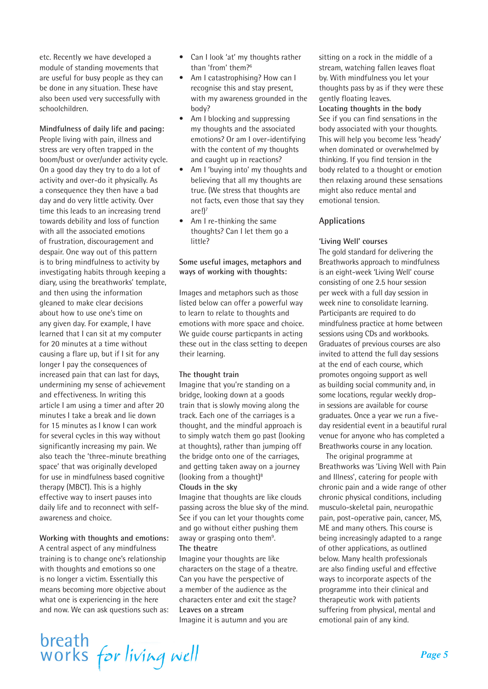etc. Recently we have developed a module of standing movements that are useful for busy people as they can be done in any situation. These have also been used very successfully with schoolchildren.

**Mindfulness of daily life and pacing:** People living with pain, illness and stress are very often trapped in the boom/bust or over/under activity cycle. On a good day they try to do a lot of activity and over-do it physically. As a consequence they then have a bad day and do very little activity. Over time this leads to an increasing trend towards debility and loss of function with all the associated emotions of frustration, discouragement and despair. One way out of this pattern is to bring mindfulness to activity by investigating habits through keeping a diary, using the breathworks' template, and then using the information gleaned to make clear decisions about how to use one's time on any given day. For example, I have learned that I can sit at my computer for 20 minutes at a time without causing a flare up, but if I sit for any longer I pay the consequences of increased pain that can last for days, undermining my sense of achievement and effectiveness. In writing this article I am using a timer and after 20 minutes I take a break and lie down for 15 minutes as I know I can work for several cycles in this way without significantly increasing my pain. We also teach the 'three-minute breathing space' that was originally developed for use in mindfulness based cognitive therapy (MBCT). This is a highly effective way to insert pauses into daily life and to reconnect with selfawareness and choice.

#### **Working with thoughts and emotions:**

A central aspect of any mindfulness training is to change one's relationship with thoughts and emotions so one is no longer a victim. Essentially this means becoming more objective about what one is experiencing in the here and now. We can ask questions such as:

- Can I look 'at' my thoughts rather than 'from' them?6
- Am I catastrophising? How can I recognise this and stay present, with my awareness grounded in the body?
- Am I blocking and suppressing my thoughts and the associated emotions? Or am I over-identifying with the content of my thoughts and caught up in reactions?
- Am I 'buving into' my thoughts and believing that all my thoughts are true. (We stress that thoughts are not facts, even those that say they are! $)^7$
- Am I re-thinking the same thoughts? Can I let them go a little?

#### **Some useful images, metaphors and ways of working with thoughts:**

Images and metaphors such as those listed below can offer a powerful way to learn to relate to thoughts and emotions with more space and choice. We guide course particpants in acting these out in the class setting to deepen their learning.

#### **The thought train**

Imagine that you're standing on a bridge, looking down at a goods train that is slowly moving along the track. Each one of the carriages is a thought, and the mindful approach is to simply watch them go past (looking at thoughts), rather than jumping off the bridge onto one of the carriages, and getting taken away on a journey (looking from a thought) $8$ **Clouds in the sky**

Imagine that thoughts are like clouds passing across the blue sky of the mind. See if you can let your thoughts come and go without either pushing them away or grasping onto them<sup>9</sup>. **The theatre**

Imagine your thoughts are like characters on the stage of a theatre. Can you have the perspective of a member of the audience as the characters enter and exit the stage? **Leaves on a stream** Imagine it is autumn and you are

sitting on a rock in the middle of a stream, watching fallen leaves float by. With mindfulness you let your thoughts pass by as if they were these gently floating leaves. **Locating thoughts in the body** See if you can find sensations in the body associated with your thoughts. This will help you become less 'heady' when dominated or overwhelmed by thinking. If you find tension in the body related to a thought or emotion then relaxing around these sensations might also reduce mental and emotional tension.

#### **Applications**

#### **'Living Well' courses**

The gold standard for delivering the Breathworks approach to mindfulness is an eight-week 'Living Well' course consisting of one 2.5 hour session per week with a full day session in week nine to consolidate learning. Participants are required to do mindfulness practice at home between sessions using CDs and workbooks. Graduates of previous courses are also invited to attend the full day sessions at the end of each course, which promotes ongoing support as well as building social community and, in some locations, regular weekly dropin sessions are available for course graduates. Once a year we run a fiveday residential event in a beautiful rural venue for anyone who has completed a Breathworks course in any location.

The original programme at Breathworks was 'Living Well with Pain and Illness', catering for people with chronic pain and a wide range of other chronic physical conditions, including musculo-skeletal pain, neuropathic pain, post-operative pain, cancer, MS, ME and many others. This course is being increasingly adapted to a range of other applications, as outlined below. Many health professionals are also finding useful and effective ways to incorporate aspects of the programme into their clinical and therapeutic work with patients suffering from physical, mental and emotional pain of any kind.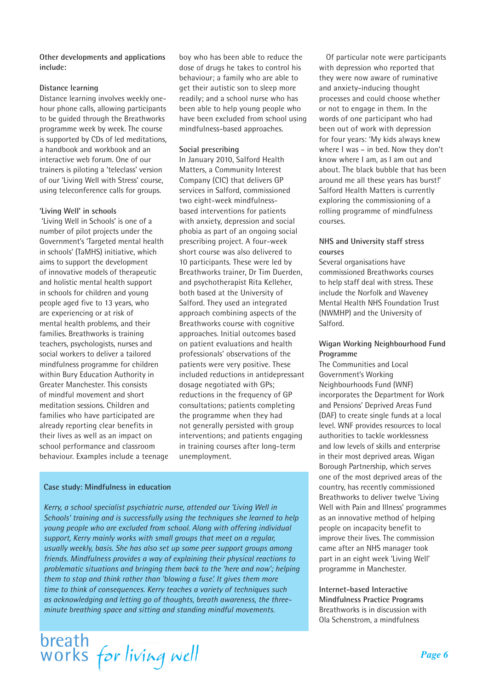**Other developments and applications include:**

#### **Distance learning**

Distance learning involves weekly onehour phone calls, allowing participants to be guided through the Breathworks programme week by week. The course is supported by CDs of led meditations, a handbook and workbook and an interactive web forum. One of our trainers is piloting a 'teleclass' version of our 'Living Well with Stress' course, using teleconference calls for groups.

#### **'Living Well' in schools**

 'Living Well in Schools' is one of a number of pilot projects under the Government's 'Targeted mental health in schools' (TaMHS) initiative, which aims to support the development of innovative models of therapeutic and holistic mental health support in schools for children and young people aged five to 13 years, who are experiencing or at risk of mental health problems, and their families. Breathworks is training teachers, psychologists, nurses and social workers to deliver a tailored mindfulness programme for children within Bury Education Authority in Greater Manchester. This consists of mindful movement and short meditation sessions. Children and families who have participated are already reporting clear benefits in their lives as well as an impact on school performance and classroom behaviour. Examples include a teenage boy who has been able to reduce the dose of drugs he takes to control his behaviour; a family who are able to get their autistic son to sleep more readily; and a school nurse who has been able to help young people who have been excluded from school using mindfulness-based approaches.

#### **Social prescribing**

In January 2010, Salford Health Matters, a Community Interest Company (CIC) that delivers GP services in Salford, commissioned two eight-week mindfulnessbased interventions for patients with anxiety, depression and social phobia as part of an ongoing social prescribing project. A four-week short course was also delivered to 10 participants. These were led by Breathworks trainer, Dr Tim Duerden, and psychotherapist Rita Kelleher, both based at the University of Salford. They used an integrated approach combining aspects of the Breathworks course with cognitive approaches. Initial outcomes based on patient evaluations and health professionals' observations of the patients were very positive. These included reductions in antidepressant dosage negotiated with GPs; reductions in the frequency of GP consultations; patients completing the programme when they had not generally persisted with group interventions; and patients engaging in training courses after long-term unemployment.

#### **Case study: Mindfulness in education**

*Kerry, a school specialist psychiatric nurse, attended our 'Living Well in Schools' training and is successfully using the techniques she learned to help young people who are excluded from school. Along with offering individual support, Kerry mainly works with small groups that meet on a regular, usually weekly, basis. She has also set up some peer support groups among friends. Mindfulness provides a way of explaining their physical reactions to problematic situations and bringing them back to the 'here and now'; helping them to stop and think rather than 'blowing a fuse'. It gives them more time to think of consequences. Kerry teaches a variety of techniques such as acknowledging and letting go of thoughts, breath awareness, the threeminute breathing space and sitting and standing mindful movements.*



Of particular note were participants with depression who reported that they were now aware of ruminative and anxiety-inducing thought processes and could choose whether or not to engage in them. In the words of one participant who had been out of work with depression for four years: 'My kids always knew where I was – in bed. Now they don't know where I am, as I am out and about. The black bubble that has been around me all these years has burst!' Salford Health Matters is currently exploring the commissioning of a rolling programme of mindfulness courses.

#### **NHS and University staff stress courses**

Several organisations have commissioned Breathworks courses to help staff deal with stress. These include the Norfolk and Waveney Mental Health NHS Foundation Trust (NWMHP) and the University of Salford.

#### **Wigan Working Neighbourhood Fund Programme**

The Communities and Local Government's Working Neighbourhoods Fund (WNF) incorporates the Department for Work and Pensions' Deprived Areas Fund (DAF) to create single funds at a local level. WNF provides resources to local authorities to tackle worklessness and low levels of skills and enterprise in their most deprived areas. Wigan Borough Partnership, which serves one of the most deprived areas of the country, has recently commissioned Breathworks to deliver twelve 'Living Well with Pain and Illness' programmes as an innovative method of helping people on incapacity benefit to improve their lives. The commission came after an NHS manager took part in an eight week 'Living Well' programme in Manchester.

**Internet-based Interactive Mindfulness Practice Programs** Breathworks is in discussion with Ola Schenstrom, a mindfulness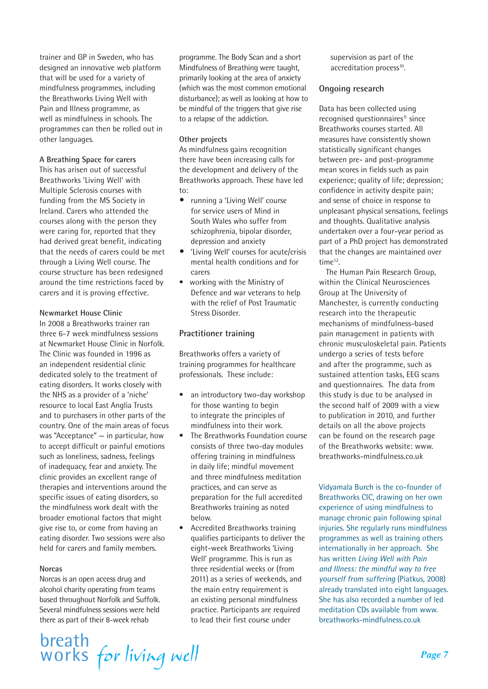trainer and GP in Sweden, who has designed an innovative web platform that will be used for a variety of mindfulness programmes, including the Breathworks Living Well with Pain and Illness programme, as well as mindfulness in schools. The programmes can then be rolled out in other languages.

#### **A Breathing Space for carers**

This has arisen out of successful Breathworks 'Living Well' with Multiple Sclerosis courses with funding from the MS Society in Ireland. Carers who attended the courses along with the person they were caring for, reported that they had derived great benefit, indicating that the needs of carers could be met through a Living Well course. The course structure has been redesigned around the time restrictions faced by carers and it is proving effective.

#### **Newmarket House Clinic**

In 2008 a Breathworks trainer ran three 6-7 week mindfulness sessions at Newmarket House Clinic in Norfolk. The Clinic was founded in 1996 as an independent residential clinic dedicated solely to the treatment of eating disorders. It works closely with the NHS as a provider of a 'niche' resource to local East Anglia Trusts and to purchasers in other parts of the country. One of the main areas of focus was "Acceptance" — in particular, how to accept difficult or painful emotions such as loneliness, sadness, feelings of inadequacy, fear and anxiety. The clinic provides an excellent range of therapies and interventions around the specific issues of eating disorders, so the mindfulness work dealt with the broader emotional factors that might give rise to, or come from having an eating disorder. Two sessions were also held for carers and family members.

#### **Norcas**

Norcas is an open access drug and alcohol charity operating from teams based throughout Norfolk and Suffolk. Several mindfulness sessions were held there as part of their 8-week rehab

breath<br>works for living well

programme. The Body Scan and a short Mindfulness of Breathing were taught, primarily looking at the area of anxiety (which was the most common emotional disturbance); as well as looking at how to be mindful of the triggers that give rise to a relapse of the addiction.

#### **Other projects**

As mindfulness gains recognition there have been increasing calls for the development and delivery of the Breathworks approach. These have led to:

- **•** running a 'Living Well' course for service users of Mind in South Wales who suffer from schizophrenia, bipolar disorder, depression and anxiety
- **•** 'Living Well' courses for acute/crisis mental health conditions and for carers
- working with the Ministry of Defence and war veterans to help with the relief of Post Traumatic Stress Disorder.

#### **Practitioner training**

Breathworks offers a variety of training programmes for healthcare professionals. These include:

- an introductory two-day workshop for those wanting to begin to integrate the principles of mindfulness into their work.
- The Breathworks Foundation course consists of three two-day modules offering training in mindfulness in daily life; mindful movement and three mindfulness meditation practices, and can serve as preparation for the full accredited Breathworks training as noted below.
- Accredited Breathworks training qualifies participants to deliver the eight-week Breathworks 'Living Well' programme. This is run as three residential weeks or (from 2011) as a series of weekends, and the main entry requirement is an existing personal mindfulness practice. Participants are required to lead their first course under

supervision as part of the accreditation process<sup>10</sup>.

#### **Ongoing research**

Data has been collected using recognised questionnaires<sup>11</sup> since Breathworks courses started. All measures have consistently shown statistically significant changes between pre- and post-programme mean scores in fields such as pain experience; quality of life; depression; confidence in activity despite pain; and sense of choice in response to unpleasant physical sensations, feelings and thoughts. Qualitative analysis undertaken over a four-year period as part of a PhD project has demonstrated that the changes are maintained over time<sup>12</sup>.

The Human Pain Research Group, within the Clinical Neurosciences Group at The University of Manchester, is currently conducting research into the therapeutic mechanisms of mindfulness-based pain management in patients with chronic musculoskeletal pain. Patients undergo a series of tests before and after the programme, such as sustained attention tasks, EEG scans and questionnaires. The data from this study is due to be analysed in the second half of 2009 with a view to publication in 2010, and further details on all the above projects can be found on the research page of the Breathworks website: www. breathworks-mindfulness.co.uk

Vidyamala Burch is the co-founder of Breathworks CIC, drawing on her own experience of using mindfulness to manage chronic pain following spinal injuries. She regularly runs mindfulness programmes as well as training others internationally in her approach. She has written *Living Well with Pain and Illness: the mindful way to free yourself from suffering* (Piatkus, 2008) already translated into eight languages. She has also recorded a number of led meditation CDs available from www. breathworks-mindfulness.co.uk